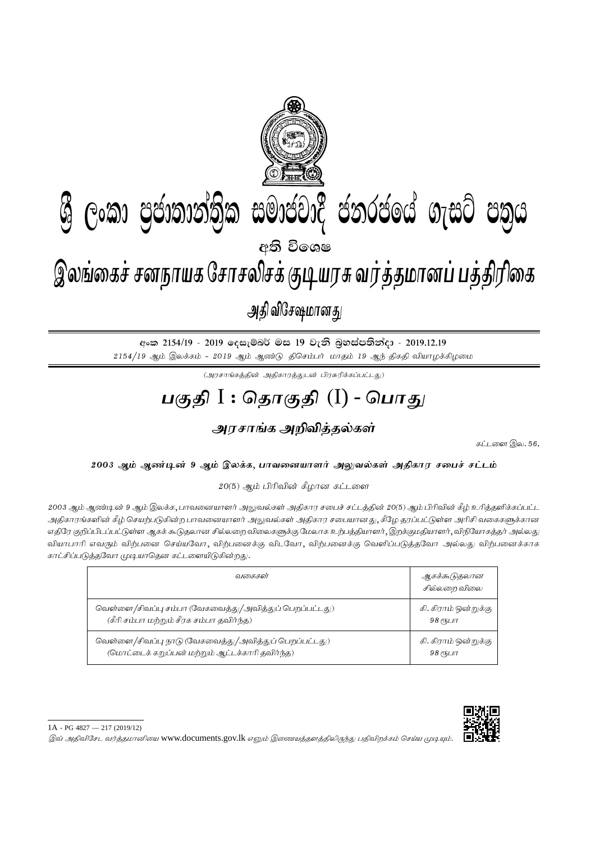

අංක 2154/19 - 2019 දෙසැම්බර් මස 19 වැනි බුහස්පතින්දා - 2019.12.19  $2154/19$  ஆம் இலக்கம் -  $2019$  ஆம் ஆண்டு திசெம்பர் மாதம் 19 ஆந் திகதி வியாழக்கிழமை

 $(\mathcal{A}$ ரசாங்கத்தின் அதிகாரத்துடன் பிரசுரிக்கப்பட்டது)

## <u>பகுதி</u> I : தொகுதி (I) - பொது

## <u>அரசாங்க அறிவித்த</u>ல்கள்

கட்டளை இல.  $56$ .

## 2003 ஆம் ஆண்டின் 9 ஆம் இலக்க, பாவனையாளர் அலுவல்கள் அதிகார சபைச் சட்டம்

 $20(5)$  ஆம் பிரிவின் கீழான கட்டளை

2003 ஆம் ஆண்டின் 9 ஆம் இலக்க, பாவனையாளர் அலுவல்கள் அதிகார சபைச் சட்டத்தின் 20(5) ஆம் பிரிவின் கீழ் உரித்தளிக்கப்பட்ட அதிகாரங்களின் கீழ் செயற்படுகின்ற பாவனையாளர் அலுவல்கள் அதிகார சபையானது, கீழே தரப்பட்டுள்ள அரிசி வகைகளுக்கான எதிரே குறிப்பிடப்பட்டுள்ள ஆகக் கூடுதலான சில்லறை விலைகளுக்கு மேலாக உற்பத்தியாளர், இறக்குமதியாளர், விநியோகத்தர் அல்லது வியாபாரி எவரும் விற்பனை செய்யவோ, விற்பனைக்கு விடவோ, விற்பனைக்கு வெளிப்படுத்தவோ அல்லது விற்பனைக்காக காட்சிப்படுத்தவோ முடியாதென கட்டளையிடுகின்றது.

| வகைகள்                                                 | ஆகக்கூடுதலான<br>சில்லறை விலை |
|--------------------------------------------------------|------------------------------|
| வெள்ளை/சிவப்பு சம்பா (வேகவைத்து/அவித்துப் பெறப்பட்டது) | கி. கிராம் ஒன்றுக்கு         |
| (கீரி சம்பா மற்றும் சீரக சம்பா தவிர்ந்த)               | $98$ еҧшп                    |
| வெள்ளை/சிவப்பு நாடு (வேகவைத்து/அவித்துப் பெறப்பட்டது)  | கி. கிராம் ஒன்றுக்கு         |
| (மொட்டைக் கறுப்பன் மற்றும் ஆட்டக்காரி தவிர்ந்த)        | $98$ еҧшп                    |



இவ் அதிவிசேட வர்த்தமானியை www.documents.gov.lk எனும் இணையத்தளத்திலிருந்து பதிவிறக்கம் செய்ய முடியும்.